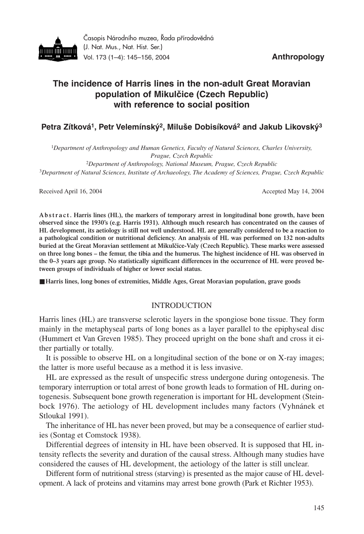

# **The incidence of Harris lines in the non-adult Great Moravian population of Mikulčice (Czech Republic) with reference to social position**

## **Petra Zítková1, Petr Velemínský2, Miluše Dobisíková2 and Jakub Likovský3**

*Department of Anthropology and Human Genetics, Faculty of Natural Sciences, Charles University, Prague, Czech Republic Department of Anthropology, National Museum, Prague, Czech Republic Department of Natural Sciences, Institute of Archaeology, The Academy of Sciences, Prague, Czech Republic*

Received April 16, 2004 **Accepted May 14, 2004** Accepted May 14, 2004

**A b s t r a c t . Harris lines (HL), the markers of temporary arrest in longitudinal bone growth, have been observed since the 1930's (e.g. Harris 1931). Although much research has concentrated on the causes of HL development, its aetiology is still not well understood. HL are generally considered to be a reaction to a pathological condition or nutritional deficiency. An analysis of HL was performed on 132 non-adults buried at the Great Moravian settlement at Mikulčice-Valy (Czech Republic). These marks were assessed on three long bones – the femur, the tibia and the humerus. The highest incidence of HL was observed in the 0–3 years age group. No statistically significant differences in the occurrence of HL were proved between groups of individuals of higher or lower social status.**

■ Harris lines, long bones of extremities, Middle Ages, Great Moravian population, grave goods

#### INTRODUCTION

Harris lines (HL) are transverse sclerotic layers in the spongiose bone tissue. They form mainly in the metaphyseal parts of long bones as a layer parallel to the epiphyseal disc (Hummert et Van Greven 1985). They proceed upright on the bone shaft and cross it either partially or totally.

It is possible to observe HL on a longitudinal section of the bone or on X-ray images; the latter is more useful because as a method it is less invasive.

HL are expressed as the result of unspecific stress undergone during ontogenesis. The temporary interruption or total arrest of bone growth leads to formation of HL during ontogenesis. Subsequent bone growth regeneration is important for HL development (Steinbock 1976). The aetiology of HL development includes many factors (Vyhnánek et Stloukal 1991).

The inheritance of HL has never been proved, but may be a consequence of earlier studies (Sontag et Comstock 1938).

Differential degrees of intensity in HL have been observed. It is supposed that HL intensity reflects the severity and duration of the causal stress. Although many studies have considered the causes of HL development, the aetiology of the latter is still unclear.

Different form of nutritional stress (starving) is presented as the major cause of HL development. A lack of proteins and vitamins may arrest bone growth (Park et Richter 1953).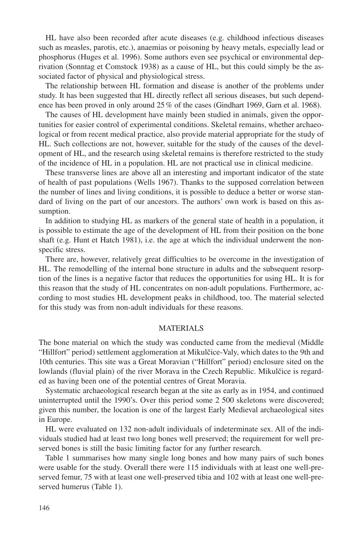HL have also been recorded after acute diseases (e.g. childhood infectious diseases such as measles, parotis, etc.), anaemias or poisoning by heavy metals, especially lead or phosphorus (Huges et al. 1996). Some authors even see psychical or environmental deprivation (Sonntag et Comstock 1938) as a cause of HL, but this could simply be the associated factor of physical and physiological stress.

The relationship between HL formation and disease is another of the problems under study. It has been suggested that HL directly reflect all serious diseases, but such dependence has been proved in only around 25 % of the cases (Gindhart 1969, Garn et al. 1968).

The causes of HL development have mainly been studied in animals, given the opportunities for easier control of experimental conditions. Skeletal remains, whether archaeological or from recent medical practice, also provide material appropriate for the study of HL. Such collections are not, however, suitable for the study of the causes of the development of HL, and the research using skeletal remains is therefore restricted to the study of the incidence of HL in a population. HL are not practical use in clinical medicine.

These transverse lines are above all an interesting and important indicator of the state of health of past populations (Wells 1967). Thanks to the supposed correlation between the number of lines and living conditions, it is possible to deduce a better or worse standard of living on the part of our ancestors. The authors' own work is based on this assumption.

In addition to studying HL as markers of the general state of health in a population, it is possible to estimate the age of the development of HL from their position on the bone shaft (e.g. Hunt et Hatch 1981), i.e. the age at which the individual underwent the nonspecific stress.

There are, however, relatively great difficulties to be overcome in the investigation of HL. The remodelling of the internal bone structure in adults and the subsequent resorption of the lines is a negative factor that reduces the opportunities for using HL. It is for this reason that the study of HL concentrates on non-adult populations. Furthermore, according to most studies HL development peaks in childhood, too. The material selected for this study was from non-adult individuals for these reasons.

#### MATERIALS

The bone material on which the study was conducted came from the medieval (Middle "Hillfort" period) settlement agglomeration at Mikulčice-Valy, which dates to the 9th and 10th centuries. This site was a Great Moravian ("Hillfort" period) enclosure sited on the lowlands (fluvial plain) of the river Morava in the Czech Republic. Mikulčice is regarded as having been one of the potential centres of Great Moravia.

Systematic archaeological research began at the site as early as in 1954, and continued uninterrupted until the 1990's. Over this period some 2 500 skeletons were discovered; given this number, the location is one of the largest Early Medieval archaeological sites in Europe.

HL were evaluated on 132 non-adult individuals of indeterminate sex. All of the individuals studied had at least two long bones well preserved; the requirement for well preserved bones is still the basic limiting factor for any further research.

Table 1 summarises how many single long bones and how many pairs of such bones were usable for the study. Overall there were 115 individuals with at least one well-preserved femur, 75 with at least one well-preserved tibia and 102 with at least one well-preserved humerus (Table 1).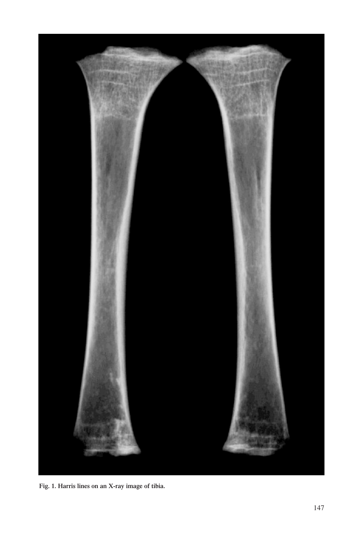

**Fig. 1. Harris lines on an X-ray image of tibia.**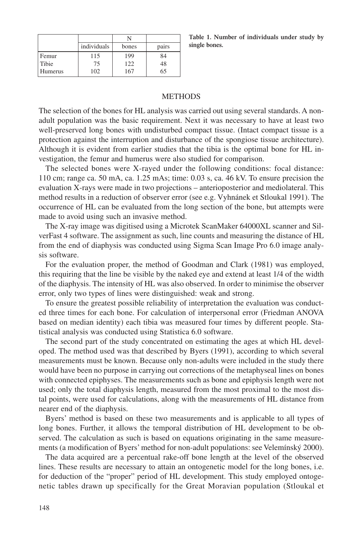|         | individuals | bones | pairs |
|---------|-------------|-------|-------|
| Femur   | 115         | 199   | 84    |
| Tibie   | 75          | 122   | 48    |
| lumerus | $\Omega$    | 167   | 65    |

**Table 1. Number of individuals under study by single bones.**

### **METHODS**

The selection of the bones for HL analysis was carried out using several standards. A nonadult population was the basic requirement. Next it was necessary to have at least two well-preserved long bones with undisturbed compact tissue. (Intact compact tissue is a protection against the interruption and disturbance of the spongiose tissue architecture). Although it is evident from earlier studies that the tibia is the optimal bone for HL investigation, the femur and humerus were also studied for comparison.

The selected bones were X-rayed under the following conditions: focal distance: 110 cm; range ca. 50 mA, ca. 1.25 mAs; time: 0.03 s, ca. 46 kV. To ensure precision the evaluation X-rays were made in two projections – anterioposterior and mediolateral. This method results in a reduction of observer error (see e.g. Vyhnánek et Stloukal 1991). The occurrence of HL can be evaluated from the long section of the bone, but attempts were made to avoid using such an invasive method.

The X-ray image was digitised using a Microtek ScanMaker 64000XL scanner and SilverFast 4 software. The assignment as such, line counts and measuring the distance of HL from the end of diaphysis was conducted using Sigma Scan Image Pro 6.0 image analysis software.

For the evaluation proper, the method of Goodman and Clark (1981) was employed, this requiring that the line be visible by the naked eye and extend at least 1/4 of the width of the diaphysis. The intensity of HL was also observed. In order to minimise the observer error, only two types of lines were distinguished: weak and strong.

To ensure the greatest possible reliability of interpretation the evaluation was conducted three times for each bone. For calculation of interpersonal error (Friedman ANOVA based on median identity) each tibia was measured four times by different people. Statistical analysis was conducted using Statistica 6.0 software.

The second part of the study concentrated on estimating the ages at which HL developed. The method used was that described by Byers (1991), according to which several measurements must be known. Because only non-adults were included in the study there would have been no purpose in carrying out corrections of the metaphyseal lines on bones with connected epiphyses. The measurements such as bone and epiphysis length were not used; only the total diaphysis length, measured from the most proximal to the most distal points, were used for calculations, along with the measurements of HL distance from nearer end of the diaphysis.

Byers' method is based on these two measurements and is applicable to all types of long bones. Further, it allows the temporal distribution of HL development to be observed. The calculation as such is based on equations originating in the same measurements (a modification of Byers' method for non-adult populations: see Velemínský 2000).

The data acquired are a percentual rake-off bone length at the level of the observed lines. These results are necessary to attain an ontogenetic model for the long bones, i.e. for deduction of the "proper" period of HL development. This study employed ontogenetic tables drawn up specifically for the Great Moravian population (Stloukal et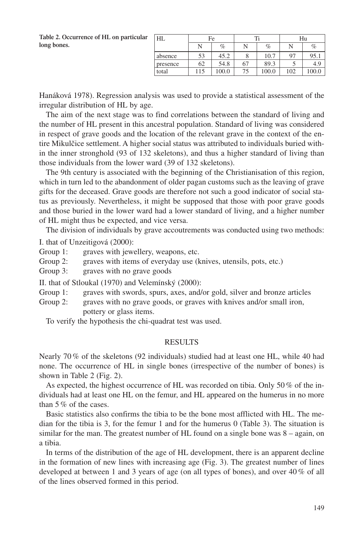**Table 2. Occurrence of HL on particular long bones.**

| HL       | Fe  |       | Ti |       | Hu  |       |
|----------|-----|-------|----|-------|-----|-------|
|          | N   | $\%$  |    | $\%$  |     | $\%$  |
| absence  | 53  | 45.2  | о  | 10.7  | 97  | 95.1  |
| presence | 62  | 54.8  | 67 | 89.3  |     | 4.9   |
| total    | 115 | 100.0 | 75 | 100.0 | 102 | 100.0 |

Hanáková 1978). Regression analysis was used to provide a statistical assessment of the irregular distribution of HL by age.

The aim of the next stage was to find correlations between the standard of living and the number of HL present in this ancestral population. Standard of living was considered in respect of grave goods and the location of the relevant grave in the context of the entire Mikulčice settlement. A higher social status was attributed to individuals buried within the inner stronghold (93 of 132 skeletons), and thus a higher standard of living than those individuals from the lower ward (39 of 132 skeletons).

The 9th century is associated with the beginning of the Christianisation of this region, which in turn led to the abandonment of older pagan customs such as the leaving of grave gifts for the deceased. Grave goods are therefore not such a good indicator of social status as previously. Nevertheless, it might be supposed that those with poor grave goods and those buried in the lower ward had a lower standard of living, and a higher number of HL might thus be expected, and vice versa.

The division of individuals by grave accoutrements was conducted using two methods:

I. that of Unzeitigová (2000):

Group 1: graves with jewellery, weapons, etc.

Group 2: graves with items of everyday use (knives, utensils, pots, etc.)

Group 3: graves with no grave goods

II. that of Stloukal (1970) and Velemínský (2000):

Group 1: graves with swords, spurs, axes, and/or gold, silver and bronze articles

Group 2: graves with no grave goods, or graves with knives and/or small iron, pottery or glass items.

To verify the hypothesis the chi-quadrat test was used.

#### RESULTS

Nearly 70 % of the skeletons (92 individuals) studied had at least one HL, while 40 had none. The occurrence of HL in single bones (irrespective of the number of bones) is shown in Table 2 (Fig. 2).

As expected, the highest occurrence of HL was recorded on tibia. Only 50 % of the individuals had at least one HL on the femur, and HL appeared on the humerus in no more than 5 % of the cases.

Basic statistics also confirms the tibia to be the bone most afflicted with HL. The median for the tibia is 3, for the femur 1 and for the humerus 0 (Table 3). The situation is similar for the man. The greatest number of HL found on a single bone was 8 – again, on a tibia.

In terms of the distribution of the age of HL development, there is an apparent decline in the formation of new lines with increasing age (Fig. 3). The greatest number of lines developed at between 1 and 3 years of age (on all types of bones), and over 40 % of all of the lines observed formed in this period.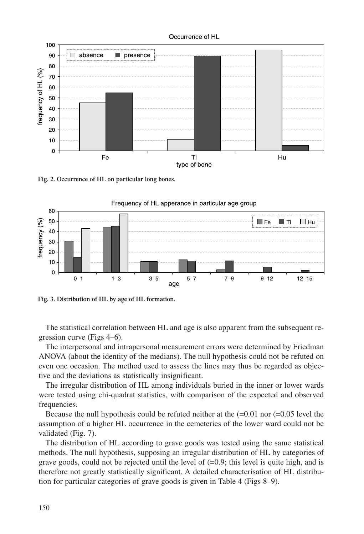

**Fig. 2. Occurrence of HL on particular long bones.**



**Fig. 3. Distribution of HL by age of HL formation.**

The statistical correlation between HL and age is also apparent from the subsequent regression curve (Figs 4–6).

The interpersonal and intrapersonal measurement errors were determined by Friedman ANOVA (about the identity of the medians). The null hypothesis could not be refuted on even one occasion. The method used to assess the lines may thus be regarded as objective and the deviations as statistically insignificant.

The irregular distribution of HL among individuals buried in the inner or lower wards were tested using chi-quadrat statistics, with comparison of the expected and observed frequencies.

Because the null hypothesis could be refuted neither at the  $(=0.01$  nor  $(=0.05$  level the assumption of a higher HL occurrence in the cemeteries of the lower ward could not be validated (Fig. 7).

The distribution of HL according to grave goods was tested using the same statistical methods. The null hypothesis, supposing an irregular distribution of HL by categories of grave goods, could not be rejected until the level of  $(=0.9)$ ; this level is quite high, and is therefore not greatly statistically significant. A detailed characterisation of HL distribution for particular categories of grave goods is given in Table 4 (Figs 8–9).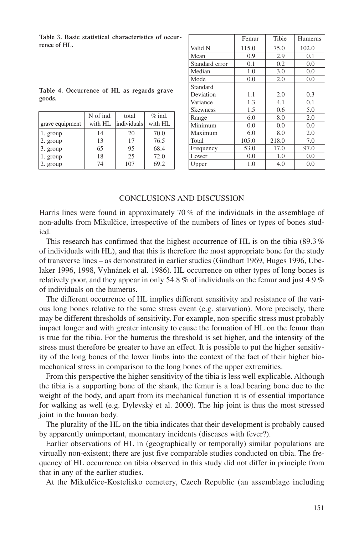**Table 3. Basic statistical characteristics of occurrence of HL.**

|                | Tibie<br>Femur |       | Humerus |
|----------------|----------------|-------|---------|
| Valid N        | 115.0          | 75.0  | 102.0   |
| Mean           | 0.9            | 2.9   | 0.1     |
| Standard error | 0.1            | 0.2   | 0.0     |
| Median         | 1.0            | 3.0   | 0.0     |
| Mode           | 0.0            | 2.0   | 0.0     |
| Standard       |                |       |         |
| Deviation      | 1.1            | 2.0   | 0.3     |
| Variance       | 1.3            | 4.1   | 0.1     |
| Skewness       | 1.5            | 0.6   | 5.0     |
| Range          | 6.0            | 8.0   | 2.0     |
| Minimum        | 0.0            | 0.0   | 0.0     |
| Maximum        | 6.0            | 8.0   | 2.0     |
| Total          | 105.0          | 218.0 | 7.0     |
| Frequency      | 53.0           | 17.0  | 97.0    |
| Lower          | 0.0            | 1.0   | 0.0     |
| Upper          | 1.0            | 4.0   | 0.0     |

**Table 4. Occurrence of HL as regards grave goods.**

grave equipment  $\vert$  with HL  $\vert$  individuals with HL 1. group 14 20 70.0 2. group 13 17 76.5 3. group | 65 | 95 | 68.4 1. group 18 25 72.0 2. group | 74 | 107 | 69.2

N of ind.  $\vert$  total  $\vert$  % ind.

| <b>CONCLUSIONS AND DISCUSSION</b> |  |  |  |
|-----------------------------------|--|--|--|
|-----------------------------------|--|--|--|

Harris lines were found in approximately 70 % of the individuals in the assemblage of non-adults from Mikulčice, irrespective of the numbers of lines or types of bones studied.

This research has confirmed that the highest occurrence of HL is on the tibia (89.3 % of individuals with HL), and that this is therefore the most appropriate bone for the study of transverse lines – as demonstrated in earlier studies (Gindhart 1969, Huges 1996, Ubelaker 1996, 1998, Vyhnánek et al. 1986). HL occurrence on other types of long bones is relatively poor, and they appear in only 54.8 % of individuals on the femur and just 4.9 % of individuals on the humerus.

The different occurrence of HL implies different sensitivity and resistance of the various long bones relative to the same stress event (e.g. starvation). More precisely, there may be different thresholds of sensitivity. For example, non-specific stress must probably impact longer and with greater intensity to cause the formation of HL on the femur than is true for the tibia. For the humerus the threshold is set higher, and the intensity of the stress must therefore be greater to have an effect. It is possible to put the higher sensitivity of the long bones of the lower limbs into the context of the fact of their higher biomechanical stress in comparison to the long bones of the upper extremities.

From this perspective the higher sensitivity of the tibia is less well explicable. Although the tibia is a supporting bone of the shank, the femur is a load bearing bone due to the weight of the body, and apart from its mechanical function it is of essential importance for walking as well (e.g. Dylevský et al. 2000). The hip joint is thus the most stressed joint in the human body.

The plurality of the HL on the tibia indicates that their development is probably caused by apparently unimportant, momentary incidents (diseases with fever?).

Earlier observations of HL in (geographically or temporally) similar populations are virtually non-existent; there are just five comparable studies conducted on tibia. The frequency of HL occurrence on tibia observed in this study did not differ in principle from that in any of the earlier studies.

At the Mikulčice-Kostelisko cemetery, Czech Republic (an assemblage including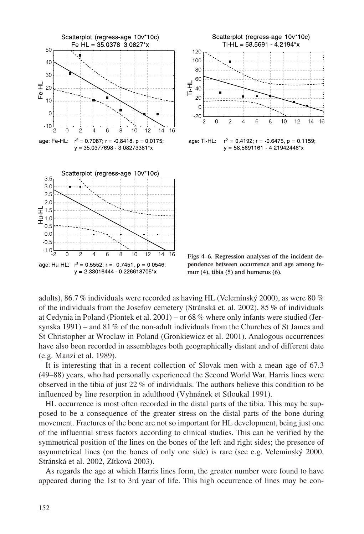



age: Ti-HL:  $r^2 = 0.4192$ ;  $r = 0.6475$ ,  $p = 0.1159$ ;  $y = 58.5691161 - 4.21942446*x$ 

**Figs 4–6. Regression analyses of the incident dependence between occurrence and age among femur (4), tibia (5) and humerus (6).**

adults), 86.7% individuals were recorded as having HL (Velemínský 2000), as were 80% of the individuals from the Josefov cemetery (Stránská et. al. 2002), 85 % of individuals at Cedynia in Poland (Piontek et al. 2001) – or 68 % where only infants were studied (Jersynska 1991) – and 81 % of the non-adult individuals from the Churches of St James and St Christopher at Wroclaw in Poland (Gronkiewicz et al. 2001). Analogous occurrences have also been recorded in assemblages both geographically distant and of different date (e.g. Manzi et al. 1989).

It is interesting that in a recent collection of Slovak men with a mean age of 67.3 (49–88) years, who had personally experienced the Second World War, Harris lines were observed in the tibia of just 22 % of individuals. The authors believe this condition to be influenced by line resorption in adulthood (Vyhnánek et Stloukal 1991).

HL occurrence is most often recorded in the distal parts of the tibia. This may be supposed to be a consequence of the greater stress on the distal parts of the bone during movement. Fractures of the bone are not so important for HL development, being just one of the influential stress factors according to clinical studies. This can be verified by the symmetrical position of the lines on the bones of the left and right sides; the presence of asymmetrical lines (on the bones of only one side) is rare (see e.g. Velemínský 2000, Stránská et al. 2002, Zítková 2003).

As regards the age at which Harris lines form, the greater number were found to have appeared during the 1st to 3rd year of life. This high occurrence of lines may be con-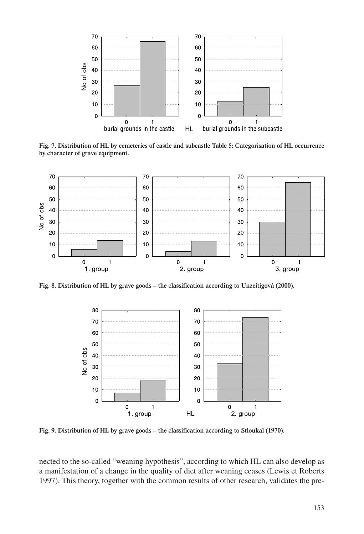

**Fig. 7. Distribution of HL by cemeteries of castle and subcastle Table 5: Categorisation of HL occurrence by character of grave equipment.**



**Fig. 8. Distribution of HL by grave goods – the classification according to Unzeitigová (2000).**



**Fig. 9. Distribution of HL by grave goods – the classification according to Stloukal (1970).** 

nected to the so-called "weaning hypothesis", according to which HL can also develop as a manifestation of a change in the quality of diet after weaning ceases (Lewis et Roberts 1997). This theory, together with the common results of other research, validates the pre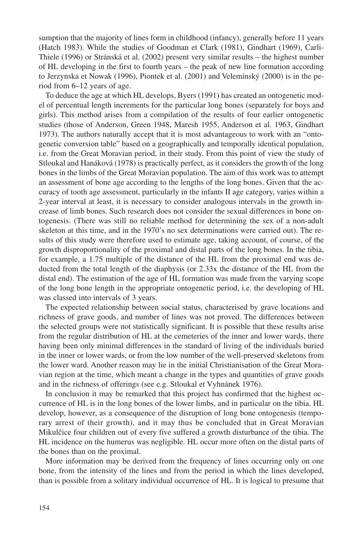sumption that the majority of lines form in childhood (infancy), generally before 11 years (Hatch 1983). While the studies of Goodman et Clark (1981), Gindhart (1969), Carli-Thiele (1996) or Stránská et al. (2002) present very similar results – the highest number of HL developing in the first to fourth years – the peak of new line formation according to Jerzynska et Nowak (1996), Piontek et al. (2001) and Velemínský (2000) is in the period from 6–12 years of age.

To deduce the age at which HL develops, Byers (1991) has created an ontogenetic model of percentual length increments for the particular long bones (separately for boys and girls). This method arises from a compilation of the results of four earlier ontogenetic studies (those of Anderson, Green 1948, Maresh 1955, Anderson et al. 1963, Gindhart 1973). The authors naturally accept that it is most advantageous to work with an "ontogenetic conversion table" based on a geographically and temporally identical population, i.e. from the Great Moravian period, in their study. From this point of view the study of Stloukal and Hanáková (1978) is practically perfect, as it considers the growth of the long bones in the limbs of the Great Moravian population. The aim of this work was to attempt an assessment of bone age according to the lengths of the long bones. Given that the accuracy of tooth age assessment, particularly in the infants II age category, varies within a 2-year interval at least, it is necessary to consider analogous intervals in the growth increase of limb bones. Such research does not consider the sexual differences in bone ontogenesis. (There was still no reliable method for determining the sex of a non-adult skeleton at this time, and in the 1970's no sex determinations were carried out). The results of this study were therefore used to estimate age, taking account, of course, of the growth disproportionality of the proximal and distal parts of the long bones. In the tibia, for example, a 1.75 multiple of the distance of the HL from the proximal end was deducted from the total length of the diaphysis (or 2.33x the distance of the HL from the distal end). The estimation of the age of HL formation was made from the varying scope of the long bone length in the appropriate ontogenetic period, i.e. the developing of HL was classed into intervals of 3 years.

The expected relationship between social status, characterised by grave locations and richness of grave goods, and number of lines was not proved. The differences between the selected groups were not statistically significant. It is possible that these results arise from the regular distribution of HL at the cemeteries of the inner and lower wards, there having been only minimal differences in the standard of living of the individuals buried in the inner or lower wards, or from the low number of the well-preserved skeletons from the lower ward. Another reason may lie in the initial Christianisation of the Great Moravian region at the time, which meant a change in the types and quantities of grave goods and in the richness of offerings (see e.g. Stloukal et Vyhnánek 1976).

In conclusion it may be remarked that this project has confirmed that the highest occurrence of HL is in the long bones of the lower limbs, and in particular on the tibia. HL develop, however, as a consequence of the disruption of long bone ontogenesis (temporary arrest of their growth), and it may thus be concluded that in Great Moravian Mikulčice four children out of every five suffered a growth disturbance of the tibia. The HL incidence on the humerus was negligible. HL occur more often on the distal parts of the bones than on the proximal.

More information may be derived from the frequency of lines occurring only on one bone, from the intensity of the lines and from the period in which the lines developed, than is possible from a solitary individual occurrence of HL. It is logical to presume that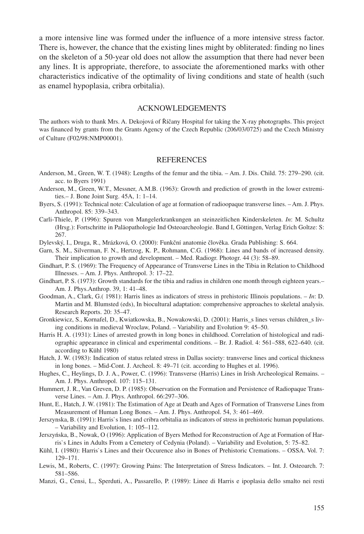a more intensive line was formed under the influence of a more intensive stress factor. There is, however, the chance that the existing lines might by obliterated: finding no lines on the skeleton of a 50-year old does not allow the assumption that there had never been any lines. It is appropriate, therefore, to associate the aforementioned marks with other characteristics indicative of the optimality of living conditions and state of health (such as enamel hypoplasia, cribra orbitalia).

#### ACKNOWLEDGEMENTS

The authors wish to thank Mrs. A. Dekojová of Říčany Hospital for taking the X-ray photographs. This project was financed by grants from the Grants Agency of the Czech Republic (206/03/0725) and the Czech Ministry of Culture (F02/98:NMP00001).

#### REFERENCES

- Anderson, M., Green, W. T. (1948): Lengths of the femur and the tibia. Am. J. Dis. Child. 75: 279–290. (cit. acc. to Byers 1991)
- Anderson, M., Green, W.T., Messner, A.M.B. (1963): Growth and prediction of growth in the lower extremities.– J. Bone Joint Surg. 45A, 1: 1–14.
- Byers, S. (1991): Technical note: Calculation of age at formation of radioopaque transverse lines. Am. J. Phys. Anthropol. 85: 339–343.
- Carli-Thiele, P. (1996): Spuren von Mangelerkrankungen an steinzeitlichen Kinderskeleten. *In*: M. Schultz (Hrsg.): Fortschritte in Paläopathologie Ind Osteoarcheologie. Band I, Göttingen, Verlag Erich Goltze: S: 267.
- Dylevský, I., Druga, R., Mrázková, O. (2000): Funkční anatomie člověka. Grada Publishing: S. 664.
- Garn, S. M., Silverman, F. N., Hertzog, K. P., Rohmann, C.G. (1968): Lines and bands of increased density. Their implication to growth and development. – Med. Radiogr. Photogr. 44 (3): 58–89.
- Gindhart, P. S. (1969): The Frequency of Appearance of Transverse Lines in the Tibia in Relation to Childhood Illnesses. – Am. J. Phys. Anthropol. 3: 17–22.
- Gindhart, P. S. (1973): Growth standards for the tibia and radius in children one month through eighteen years.— Am. J. Phys.Anthrop. 39, 1: 41–48.
- Goodman, A., Clark, G.( 1981): Harris lines as indicators of stress in prehistoric Illinois populations. *In*: D. Martin and M. Blumsted (eds), In biocultural adaptation: comprehensive approaches to skeletal analysis. Research Reports. 20: 35–47.
- Gronkiewicz, S., Kornafel, D., Kwiatkowska, B., Nowakowski, D. (2001): Harris\_s lines versus children\_s living conditions in medieval Wroclaw, Poland. – Variability and Evolution 9: 45–50.
- Harris H. A. (1931): Lines of arrested growth in long bones in childhood. Correlation of histological and radiographic appearance in clinical and experimental conditions. – Br. J. Radiol. 4: 561–588, 622–640. (cit. according to Kühl 1980)
- Hatch, J. W. (1983): Indication of status related stress in Dallas society: transverse lines and cortical thickness in long bones. – Mid-Cont. J. Archeol. 8: 49–71 (cit. according to Hughes et al. 1996).
- Hughes, C., Heylings, D. J. A., Power, C. (1996): Transverse (Harris) Lines in Irish Archeological Remains. Am. J. Phys. Anthropol. 107: 115–131.
- Hummert, J. R., Van Greven, D. P. (1985): Observation on the Formation and Persistence of Radiopaque Transverse Lines. – Am. J. Phys. Anthropol. 66:297–306.
- Hunt, E., Hatch, J. W. (1981): The Estimation of Age at Death and Ages of Formation of Transverse Lines from Measurement of Human Long Bones. – Am. J. Phys. Anthropol. 54, 3: 461–469.
- Jerszynska, B. (1991): Harris`s lines and cribra orbitalia as indicators of stress in prehistoric human populations. – Variability and Evolution, 1: 105–112.
- Jerszyńska, B., Nowak, O (1996): Application of Byers Method for Reconstruction of Age at Formation of Harris`s Lines in Adults From a Cemetery of Cedynia (Poland). – Variability and Evolution, 5: 75–82.
- Kühl, I. (1980): Harris`s Lines and their Occurence also in Bones of Prehistoric Cremations. OSSA. Vol. 7: 129–171.
- Lewis, M., Roberts, C. (1997): Growing Pains: The Interpretation of Stress Indicators. Int. J. Osteoarch. 7: 581–586.
- Manzi, G., Censi, L., Sperduti, A., Passarello, P. (1989): Linee di Harris e ipoplasia dello smalto nei resti